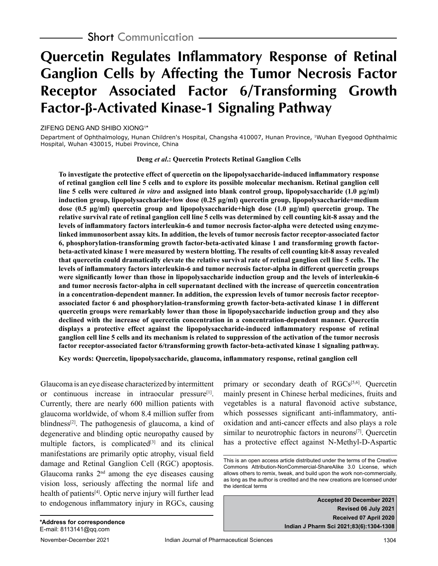## **Quercetin Regulates Inflammatory Response of Retinal Ganglion Cells by Affecting the Tumor Necrosis Factor Receptor Associated Factor 6/Transforming Growth Factor-β-Activated Kinase-1 Signaling Pathway**

ZIFENG DENG AND SHIBO XIONG1 \*

Department of Ophthalmology, Hunan Children's Hospital, Changsha 410007, Hunan Province, 1Wuhan Eyegood Ophthalmic Hospital, Wuhan 430015, Hubei Province, China

## **Deng** *et al***.: Quercetin Protects Retinal Ganglion Cells**

**To investigate the protective effect of quercetin on the lipopolysaccharide-induced inflammatory response of retinal ganglion cell line 5 cells and to explore its possible molecular mechanism. Retinal ganglion cell line 5 cells were cultured** *in vitro* **and assigned into blank control group, lipopolysaccharide (1.0 μg/ml) induction group, lipopolysaccharide+low dose (0.25 μg/ml) quercetin group, lipopolysaccharide+medium dose (0.5 μg/ml) quercetin group and lipopolysaccharide+high dose (1.0 μg/ml) quercetin group. The relative survival rate of retinal ganglion cell line 5 cells was determined by cell counting kit-8 assay and the levels of inflammatory factors interleukin-6 and tumor necrosis factor-alpha were detected using enzymelinked immunosorbent assay kits. In addition, the levels of tumor necrosis factor receptor-associated factor 6, phosphorylation-transforming growth factor-beta-activated kinase 1 and transforming growth factorbeta-activated kinase 1 were measured by western blotting. The results of cell counting kit-8 assay revealed that quercetin could dramatically elevate the relative survival rate of retinal ganglion cell line 5 cells. The levels of inflammatory factors interleukin-6 and tumor necrosis factor-alpha in different quercetin groups were significantly lower than those in lipopolysaccharide induction group and the levels of interleukin-6 and tumor necrosis factor-alpha in cell supernatant declined with the increase of quercetin concentration in a concentration-dependent manner. In addition, the expression levels of tumor necrosis factor receptorassociated factor 6 and phosphorylation-transforming growth factor-beta-activated kinase 1 in different quercetin groups were remarkably lower than those in lipopolysaccharide induction group and they also declined with the increase of quercetin concentration in a concentration-dependent manner. Quercetin displays a protective effect against the lipopolysaccharide-induced inflammatory response of retinal ganglion cell line 5 cells and its mechanism is related to suppression of the activation of the tumor necrosis factor receptor-associated factor 6/transforming growth factor-beta-activated kinase 1 signaling pathway.**

**Key words: Quercetin, lipopolysaccharide, glaucoma, inflammatory response, retinal ganglion cell**

Glaucoma is an eye disease characterized by intermittent or continuous increase in intraocular pressure[1]. Currently, there are nearly 600 million patients with glaucoma worldwide, of whom 8.4 million suffer from blindness<sup>[2]</sup>. The pathogenesis of glaucoma, a kind of degenerative and blinding optic neuropathy caused by multiple factors, is complicated<sup>[3]</sup> and its clinical manifestations are primarily optic atrophy, visual field damage and Retinal Ganglion Cell (RGC) apoptosis. Glaucoma ranks  $2<sup>nd</sup>$  among the eye diseases causing vision loss, seriously affecting the normal life and health of patients<sup>[4]</sup>. Optic nerve injury will further lead to endogenous inflammatory injury in RGCs, causing primary or secondary death of RGCs<sup>[5,6]</sup>. Quercetin mainly present in Chinese herbal medicines, fruits and vegetables is a natural flavonoid active substance, which possesses significant anti-inflammatory, antioxidation and anti-cancer effects and also plays a role similar to neurotrophic factors in neurons<sup>[7]</sup>. Quercetin has a protective effect against N-Methyl-D-Aspartic

**Accepted 20 December 2021 Revised 06 July 2021 Received 07 April 2020 Indian J Pharm Sci 2021;83(6):1304-1308**

This is an open access article distributed under the terms of the Creative Commons Attribution-NonCommercial-ShareAlike 3.0 License, which allows others to remix, tweak, and build upon the work non-commercially, as long as the author is credited and the new creations are licensed under the identical terms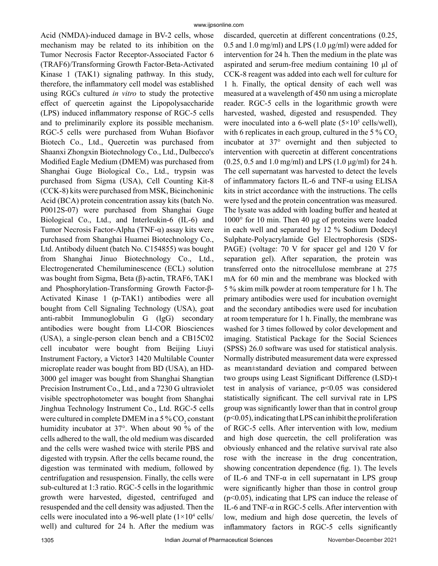Acid (NMDA)-induced damage in BV-2 cells, whose mechanism may be related to its inhibition on the Tumor Necrosis Factor Receptor-Associated Factor 6 (TRAF6)/Transforming Growth Factor-Βeta-Activated Kinase 1 (TAK1) signaling pathway. In this study, therefore, the inflammatory cell model was established using RGCs cultured *in vitro* to study the protective effect of quercetin against the Lipopolysaccharide (LPS) induced inflammatory response of RGC-5 cells and to preliminarily explore its possible mechanism. RGC-5 cells were purchased from Wuhan Biofavor Biotech Co., Ltd., Quercetin was purchased from Shaanxi Zhongxin Biotechnology Co., Ltd., Dulbecco's Modified Eagle Medium (DMEM) was purchased from Shanghai Guge Biological Co., Ltd., trypsin was purchased from Sigma (USA), Cell Counting Kit-8 (CCK-8) kits were purchased from MSK, Bicinchoninic Acid (BCA) protein concentration assay kits (batch No. P0012S-07) were purchased from Shanghai Guge Biological Co., Ltd., and Interleukin-6 (IL-6) and Tumor Necrosis Factor-Alpha (TNF- $\alpha$ ) assay kits were purchased from Shanghai Huamei Biotechnology Co., Ltd. Antibody diluent (batch No. C154855) was bought from Shanghai Jinuo Biotechnology Co., Ltd., Electrogenerated Chemiluminescence (ECL) solution was bought from Sigma, Βeta (β)-actin, TRAF6, TAK1 and Phosphorylation-Transforming Growth Factor-β-Activated Kinase 1 (p-TAK1) antibodies were all bought from Cell Signaling Technology (USA), goat anti-rabbit Immunoglobulin G (IgG) secondary antibodies were bought from LI-COR Biosciences (USA), a single-person clean bench and a CB15C02 cell incubator were bought from Beijing Liuyi Instrument Factory, a Victor3 1420 Multilable Counter microplate reader was bought from BD (USA), an HD-3000 gel imager was bought from Shanghai Shangtian Precision Instrument Co., Ltd., and a 7230 G ultraviolet visible spectrophotometer was bought from Shanghai Jinghua Technology Instrument Co., Ltd. RGC-5 cells were cultured in complete DMEM in a 5 %  $\mathrm{CO}_2$  constant humidity incubator at 37°. When about 90 % of the cells adhered to the wall, the old medium was discarded and the cells were washed twice with sterile PBS and digested with trypsin. After the cells became round, the digestion was terminated with medium, followed by centrifugation and resuspension. Finally, the cells were sub-cultured at 1:3 ratio. RGC-5 cells in the logarithmic growth were harvested, digested, centrifuged and resuspended and the cell density was adjusted. Then the cells were inoculated into a 96-well plate  $(1\times10^4 \text{ cells}/$ well) and cultured for 24 h. After the medium was

discarded, quercetin at different concentrations (0.25, 0.5 and 1.0 mg/ml) and LPS (1.0 μg/ml) were added for intervention for 24 h. Then the medium in the plate was aspirated and serum-free medium containing 10 μl of CCK-8 reagent was added into each well for culture for 1 h. Finally, the optical density of each well was measured at a wavelength of 450 nm using a microplate reader. RGC-5 cells in the logarithmic growth were harvested, washed, digested and resuspended. They were inoculated into a 6-well plate  $(5 \times 10^5 \text{ cells/well})$ , with 6 replicates in each group, cultured in the 5 %  $CO<sub>2</sub>$ incubator at 37° overnight and then subjected to intervention with quercetin at different concentrations  $(0.25, 0.5 \text{ and } 1.0 \text{ mg/ml})$  and LPS  $(1.0 \text{ µg/ml})$  for 24 h. The cell supernatant was harvested to detect the levels of inflammatory factors IL-6 and TNF-α using ELISA kits in strict accordance with the instructions. The cells were lysed and the protein concentration was measured. The lysate was added with loading buffer and heated at 1000° for 10 min. Then 40 μg of proteins were loaded in each well and separated by 12 % Sodium Dodecyl Sulphate-Polyacrylamide Gel Electrophoresis (SDS-PAGE) (voltage: 70 V for spacer gel and 120 V for separation gel). After separation, the protein was transferred onto the nitrocellulose membrane at 275 mA for 60 min and the membrane was blocked with 5 % skim milk powder at room temperature for 1 h. The primary antibodies were used for incubation overnight and the secondary antibodies were used for incubation at room temperature for 1 h. Finally, the membrane was washed for 3 times followed by color development and imaging. Statistical Package for the Social Sciences (SPSS) 26.0 software was used for statistical analysis. Normally distributed measurement data were expressed as mean±standard deviation and compared between two groups using Least Significant Difference (LSD)-t test in analysis of variance,  $p<0.05$  was considered statistically significant. The cell survival rate in LPS group was significantly lower than that in control group  $(p<0.05)$ , indicating that LPS can inhibit the proliferation of RGC-5 cells. After intervention with low, medium and high dose quercetin, the cell proliferation was obviously enhanced and the relative survival rate also rose with the increase in the drug concentration, showing concentration dependence (fig. 1). The levels of IL-6 and TNF- $\alpha$  in cell supernatant in LPS group were significantly higher than those in control group (p<0.05), indicating that LPS can induce the release of IL-6 and TNF- $\alpha$  in RGC-5 cells. After intervention with low, medium and high dose quercetin, the levels of inflammatory factors in RGC-5 cells significantly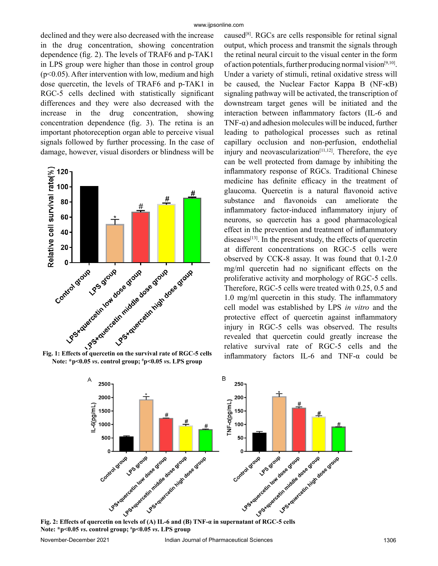declined and they were also decreased with the increase in the drug concentration, showing concentration dependence (fig. 2). The levels of TRAF6 and p-TAK1 in LPS group were higher than those in control group  $(p<0.05)$ . After intervention with low, medium and high dose quercetin, the levels of TRAF6 and p-TAK1 in RGC-5 cells declined with statistically significant differences and they were also decreased with the increase in the drug concentration, showing concentration dependence (fig. 3). The retina is an important photoreception organ able to perceive visual signals followed by further processing. In the case of damage, however, visual disorders or blindness will be



**p<0.05** *vs***. LPS group**

caused<sup>[8]</sup>. RGCs are cells responsible for retinal signal output, which process and transmit the signals through the retinal neural circuit to the visual center in the form of action potentials, further producing normal vision<sup>[9,10]</sup>. Under a variety of stimuli, retinal oxidative stress will be caused, the Nuclear Factor Kappa B (NF-κB) signaling pathway will be activated, the transcription of downstream target genes will be initiated and the interaction between inflammatory factors (IL-6 and TNF- $\alpha$ ) and adhesion molecules will be induced, further leading to pathological processes such as retinal capillary occlusion and non-perfusion, endothelial injury and neovascularization $[11,12]$ . Therefore, the eye can be well protected from damage by inhibiting the inflammatory response of RGCs. Traditional Chinese medicine has definite efficacy in the treatment of glaucoma. Quercetin is a natural flavonoid active substance and flavonoids can ameliorate the inflammatory factor-induced inflammatory injury of neurons, so quercetin has a good pharmacological effect in the prevention and treatment of inflammatory diseases $[13]$ . In the present study, the effects of quercetin at different concentrations on RGC-5 cells were observed by CCK-8 assay. It was found that 0.1-2.0 mg/ml quercetin had no significant effects on the proliferative activity and morphology of RGC-5 cells. Therefore, RGC-5 cells were treated with 0.25, 0.5 and 1.0 mg/ml quercetin in this study. The inflammatory cell model was established by LPS *in vitro* and the protective effect of quercetin against inflammatory injury in RGC-5 cells was observed. The results revealed that quercetin could greatly increase the relative survival rate of RGC-5 cells and the inflammatory cell model was established by LPS *in* with and morphology of RGC-5 cells.<br>
Eig. 1: Effects of quercetin on the survival rate of RGC-5 cells<br>
Fig. 1: Effects of quercetin on the survival rate of RGC-5 cells<br>



**Note: \*p<0.05** *vs***. control group; # p<0.05** *vs***. LPS group**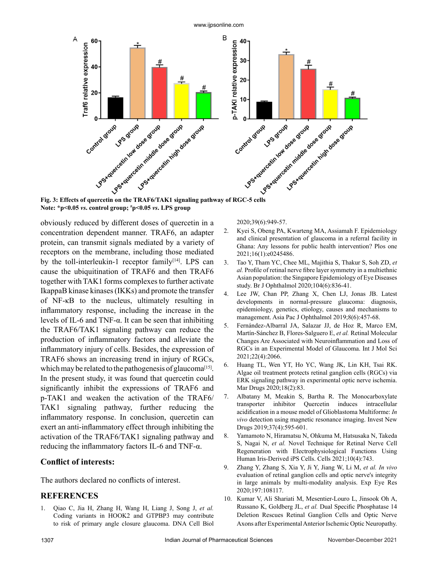

**Note: \*p<0.05** *vs***. control group; # p<0.05** *vs***. LPS group**

obviously reduced by different doses of quercetin in a concentration dependent manner. TRAF6, an adapter protein, can transmit signals mediated by a variety of receptors on the membrane, including those mediated by the toll-interleukin-1 receptor family $[14]$ . LPS can cause the ubiquitination of TRAF6 and then TRAF6 together with TAK1 forms complexes to further activate IkappaB kinase kinases (IKKs) and promote the transfer of NF-κB to the nucleus, ultimately resulting in inflammatory response, including the increase in the levels of IL-6 and TNF-α. It can be seen that inhibiting the TRAF6/TAK1 signaling pathway can reduce the production of inflammatory factors and alleviate the inflammatory injury of cells. Besides, the expression of TRAF6 shows an increasing trend in injury of RGCs, which may be related to the pathogenesis of glaucoma<sup>[15]</sup>. In the present study, it was found that quercetin could significantly inhibit the expressions of TRAF6 and p-TAK1 and weaken the activation of the TRAF6/ TAK1 signaling pathway, further reducing the inflammatory response. In conclusion, quercetin can exert an anti-inflammatory effect through inhibiting the activation of the TRAF6/TAK1 signaling pathway and reducing the inflammatory factors IL-6 and TNF-α.

## **Conflict of interests:**

The authors declared no conflicts of interest.

## **REFERENCES**

1. Qiao C, Jia H, Zhang H, Wang H, Liang J, Song J, *et al.* Coding variants in HOOK2 and GTPBP3 may contribute to risk of primary angle closure glaucoma. DNA Cell Biol 2020;39(6):949-57.

- 2. Kyei S, Obeng PA, Kwarteng MA, Assiamah F. Epidemiology and clinical presentation of glaucoma in a referral facility in Ghana: Any lessons for public health intervention? Plos one 2021;16(1):e0245486.
- 3. Tao Y, Tham YC, Chee ML, Majithia S, Thakur S, Soh ZD, *et al.* Profile of retinal nerve fibre layer symmetry in a multiethnic Asian population: the Singapore Epidemiology of Eye Diseases study. Br J Ophthalmol 2020;104(6):836-41.
- 4. Lee JW, Chan PP, Zhang X, Chen LJ, Jonas JB. Latest developments in normal-pressure glaucoma: diagnosis, epidemiology, genetics, etiology, causes and mechanisms to management. Asia Pac J Ophthalmol 2019;8(6):457-68.
- 5. Fernández-Albarral JA, Salazar JJ, de Hoz R, Marco EM, Martín-Sánchez B, Flores-Salguero E, *et al.* Retinal Molecular Changes Are Associated with Neuroinflammation and Loss of RGCs in an Experimental Model of Glaucoma. Int J Mol Sci 2021;22(4):2066.
- 6. Huang TL, Wen YT, Ho YC, Wang JK, Lin KH, Tsai RK. Algae oil treatment protects retinal ganglion cells (RGCs) via ERK signaling pathway in experimental optic nerve ischemia. Mar Drugs 2020;18(2):83.
- 7. Albatany M, Meakin S, Bartha R. The Monocarboxylate transporter inhibitor Quercetin induces intracellular acidification in a mouse model of Glioblastoma Multiforme: *In vivo* detection using magnetic resonance imaging. Invest New Drugs 2019;37(4):595-601.
- 8. Yamamoto N, Hiramatsu N, Ohkuma M, Hatsusaka N, Takeda S, Nagai N, *et al.* Novel Technique for Retinal Nerve Cell Regeneration with Electrophysiological Functions Using Human Iris-Derived iPS Cells. Cells 2021;10(4):743.
- 9. Zhang Y, Zhang S, Xia Y, Ji Y, Jiang W, Li M, *et al. In vivo* evaluation of retinal ganglion cells and optic nerve's integrity in large animals by multi-modality analysis. Exp Eye Res 2020;197:108117.
- 10. Kumar V, Ali Shariati M, Mesentier-Louro L, Jinsook Oh A, Russano K, Goldberg JL, *et al.* Dual Specific Phosphatase 14 Deletion Rescues Retinal Ganglion Cells and Optic Nerve Axons after Experimental Anterior Ischemic Optic Neuropathy.